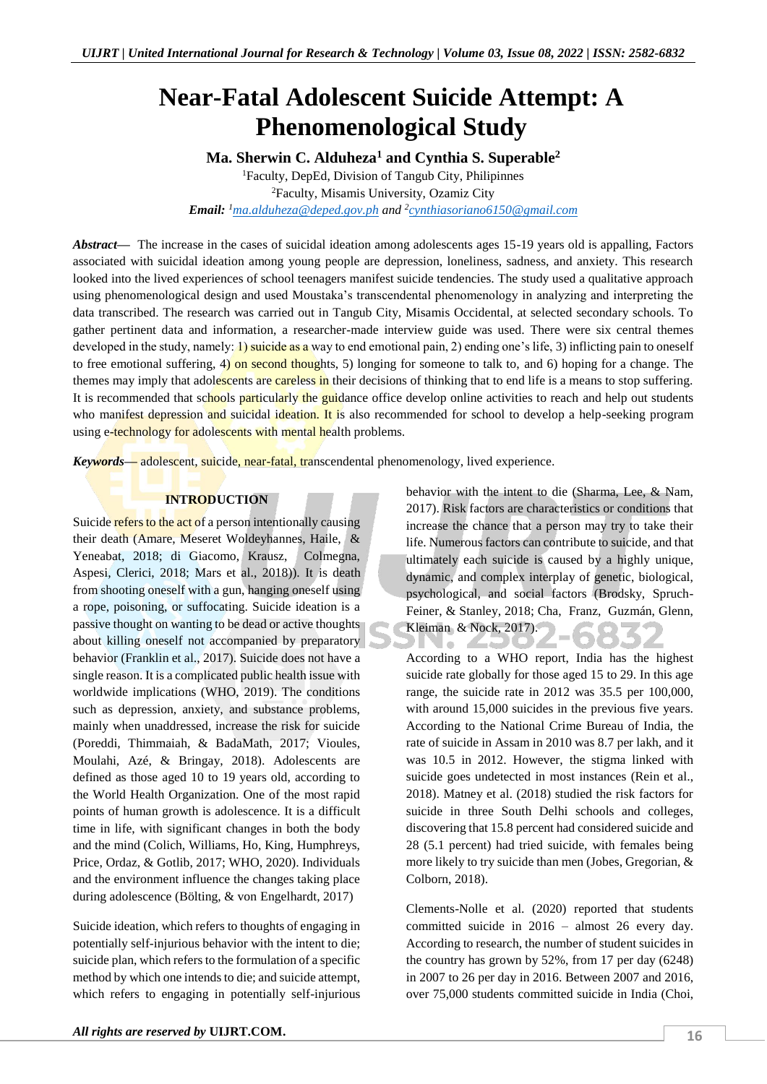# **Near-Fatal Adolescent Suicide Attempt: A Phenomenological Study**

**Ma. Sherwin C. Alduheza<sup>1</sup> and Cynthia S. Superable<sup>2</sup>**

<sup>1</sup>Faculty, DepEd, Division of Tangub City, Philipinnes <sup>2</sup>Faculty, Misamis University, Ozamiz City *Email: <sup>1</sup>[ma.alduheza@deped.gov.ph](mailto:ma.alduheza@deped.gov.ph) and <sup>2</sup> [cynthiasoriano6150@gmail.com](mailto:cynthiasoriano6150@gmail.com)*

*Abstract—* The increase in the cases of suicidal ideation among adolescents ages 15-19 years old is appalling, Factors associated with suicidal ideation among young people are depression, loneliness, sadness, and anxiety. This research looked into the lived experiences of school teenagers manifest suicide tendencies. The study used a qualitative approach using phenomenological design and used Moustaka's transcendental phenomenology in analyzing and interpreting the data transcribed. The research was carried out in Tangub City, Misamis Occidental, at selected secondary schools. To gather pertinent data and information, a researcher-made interview guide was used. There were six central themes developed in the study, namely: 1) suicide as a way to end emotional pain, 2) ending one's life, 3) inflicting pain to oneself to free emotional suffering, 4) on second thoughts, 5) longing for someone to talk to, and 6) hoping for a change. The themes may imply that adolescents are careless in their decisions of thinking that to end life is a means to stop suffering. It is recommended that schools particularly the guidance office develop online activities to reach and help out students who manifest depression and suicidal ideation. It is also recommended for school to develop a help-seeking program using e-technology for adolescents with mental health problems.

*Keywords—* adolescent, suicide, near-fatal, transcendental phenomenology, lived experience.

# **INTRODUCTION**

Suicide refers to the act of a person intentionally causing their death (Amare, Meseret Woldeyhannes, Haile, & Yeneabat, 2018; di Giacomo, Krausz, Colmegna, Aspesi, Clerici, 2018; Mars et al., 2018)). It is death from shooting oneself with a gun, hanging oneself using a rope, poisoning, or suffocating. Suicide ideation is a passive thought on wanting to be dead or active thoughts about killing oneself not accompanied by preparatory behavior (Franklin et al., 2017). Suicide does not have a single reason. It is a complicated public health issue with worldwide implications (WHO, 2019). The conditions such as depression, anxiety, and substance problems, mainly when unaddressed, increase the risk for suicide (Poreddi, Thimmaiah, & BadaMath, 2017; Vioules, Moulahi, Azé, & Bringay, 2018). Adolescents are defined as those aged 10 to 19 years old, according to the World Health Organization. One of the most rapid points of human growth is adolescence. It is a difficult time in life, with significant changes in both the body and the mind (Colich, Williams, Ho, King, Humphreys, Price, Ordaz, & Gotlib, 2017; WHO, 2020). Individuals and the environment influence the changes taking place during adolescence (Bölting, & von Engelhardt, 2017)

Suicide ideation, which refers to thoughts of engaging in potentially self-injurious behavior with the intent to die; suicide plan, which refers to the formulation of a specific method by which one intends to die; and suicide attempt, which refers to engaging in potentially self-injurious

behavior with the intent to die (Sharma, Lee, & Nam, 2017). Risk factors are characteristics or conditions that increase the chance that a person may try to take their life. Numerous factors can contribute to suicide, and that ultimately each suicide is caused by a highly unique, dynamic, and complex interplay of genetic, biological, psychological, and social factors (Brodsky, Spruch-Feiner, & Stanley, 2018; Cha, Franz, Guzmán, Glenn, Kleiman & Nock, 2017).

 $\alpha$ 

According to a WHO report, India has the highest suicide rate globally for those aged 15 to 29. In this age range, the suicide rate in 2012 was 35.5 per 100,000, with around 15,000 suicides in the previous five years. According to the National Crime Bureau of India, the rate of suicide in Assam in 2010 was 8.7 per lakh, and it was 10.5 in 2012. However, the stigma linked with suicide goes undetected in most instances (Rein et al., 2018). Matney et al. (2018) studied the risk factors for suicide in three South Delhi schools and colleges, discovering that 15.8 percent had considered suicide and 28 (5.1 percent) had tried suicide, with females being more likely to try suicide than men (Jobes, Gregorian, & Colborn, 2018).

Clements-Nolle et al. (2020) reported that students committed suicide in 2016 – almost 26 every day. According to research, the number of student suicides in the country has grown by 52%, from 17 per day (6248) in 2007 to 26 per day in 2016. Between 2007 and 2016, over 75,000 students committed suicide in India (Choi,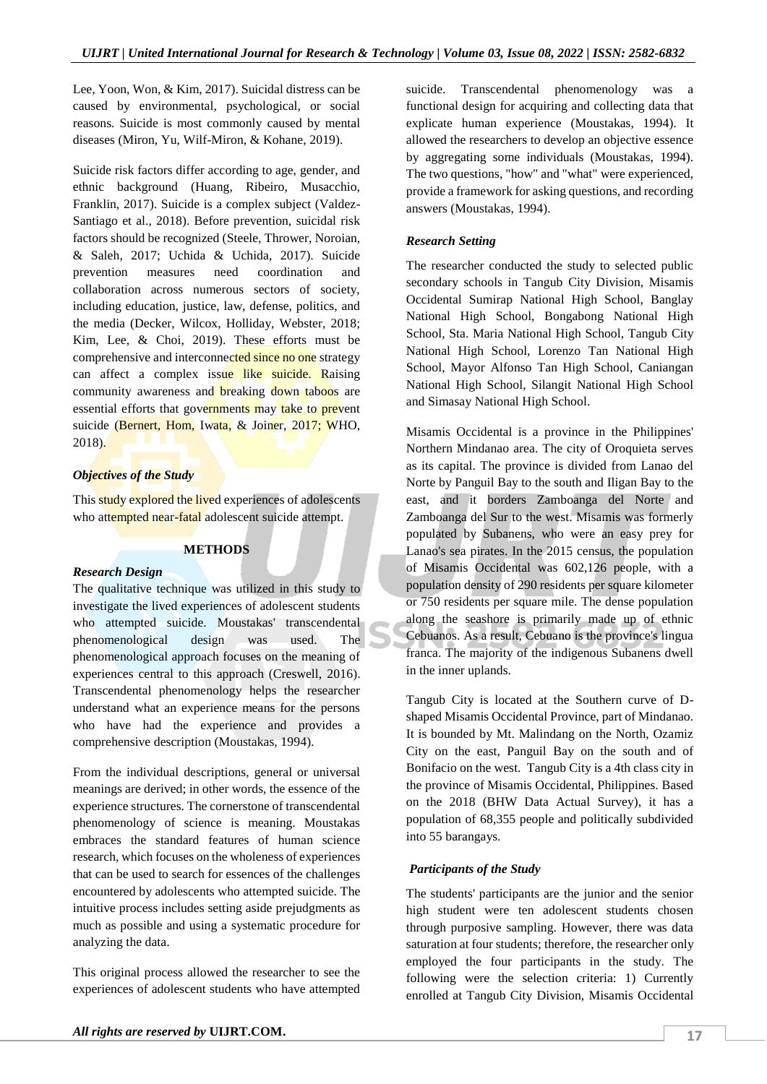Lee, Yoon, Won, & Kim, 2017). Suicidal distress can be caused by environmental, psychological, or social reasons. Suicide is most commonly caused by mental diseases (Miron, Yu, Wilf-Miron, & Kohane, 2019).

Suicide risk factors differ according to age, gender, and ethnic background (Huang, Ribeiro, Musacchio, Franklin, 2017). Suicide is a complex subject (Valdez-Santiago et al., 2018). Before prevention, suicidal risk factors should be recognized (Steele, Thrower, Noroian, & Saleh, 2017; Uchida & Uchida, 2017). Suicide prevention measures need coordination and collaboration across numerous sectors of society, including education, justice, law, defense, politics, and the media (Decker, Wilcox, Holliday, Webster, 2018; Kim, Lee, & Choi, 2019). These efforts must be comprehensive and interconnected since no one strategy can affect a complex issue like suicide. Raising community awareness and breaking down taboos are essential efforts that governments may take to prevent suicide (Bernert, Hom, Iwata, & Joiner, 2017; WHO, 2018).

# *Objectives of the Study*

This study explored the lived experiences of adolescents who attempted near-fatal adolescent suicide attempt.

# **METHODS**

#### *Research Design*

The qualitative technique was utilized in this study to investigate the lived experiences of adolescent students who attempted suicide. Moustakas' transcendental phenomenological design was used. The phenomenological approach focuses on the meaning of experiences central to this approach (Creswell, 2016). Transcendental phenomenology helps the researcher understand what an experience means for the persons who have had the experience and provides a comprehensive description (Moustakas, 1994).

From the individual descriptions, general or universal meanings are derived; in other words, the essence of the experience structures. The cornerstone of transcendental phenomenology of science is meaning. Moustakas embraces the standard features of human science research, which focuses on the wholeness of experiences that can be used to search for essences of the challenges encountered by adolescents who attempted suicide. The intuitive process includes setting aside prejudgments as much as possible and using a systematic procedure for analyzing the data.

This original process allowed the researcher to see the experiences of adolescent students who have attempted suicide. Transcendental phenomenology was a functional design for acquiring and collecting data that explicate human experience (Moustakas, 1994). It allowed the researchers to develop an objective essence by aggregating some individuals (Moustakas, 1994). The two questions, "how" and "what" were experienced, provide a framework for asking questions, and recording answers (Moustakas, 1994).

# *Research Setting*

The researcher conducted the study to selected public secondary schools in Tangub City Division, Misamis Occidental Sumirap National High School, Banglay National High School, Bongabong National High School, Sta. Maria National High School, Tangub City National High School, Lorenzo Tan National High School, Mayor Alfonso Tan High School, Caniangan National High School, Silangit National High School and Simasay National High School.

Misamis Occidental is a province in the Philippines' Northern Mindanao area. The city of Oroquieta serves as its capital. The province is divided from Lanao del Norte by Panguil Bay to the south and Iligan Bay to the east, and it borders Zamboanga del Norte and Zamboanga del Sur to the west. Misamis was formerly populated by Subanens, who were an easy prey for Lanao's sea pirates. In the 2015 census, the population of Misamis Occidental was 602,126 people, with a population density of 290 residents per square kilometer or 750 residents per square mile. The dense population along the seashore is primarily made up of ethnic Cebuanos. As a result, Cebuano is the province's lingua franca. The majority of the indigenous Subanens dwell in the inner uplands.

Tangub City is located at the Southern curve of Dshaped Misamis Occidental Province, part of Mindanao. It is bounded by Mt. Malindang on the North, Ozamiz City on the east, Panguil Bay on the south and of Bonifacio on the west. Tangub City is a 4th class city in the province of Misamis Occidental, Philippines. Based on the 2018 (BHW Data Actual Survey), it has a population of 68,355 people and politically subdivided into 55 barangays.

# *Participants of the Study*

The students' participants are the junior and the senior high student were ten adolescent students chosen through purposive sampling. However, there was data saturation at four students; therefore, the researcher only employed the four participants in the study. The following were the selection criteria: 1) Currently enrolled at Tangub City Division, Misamis Occidental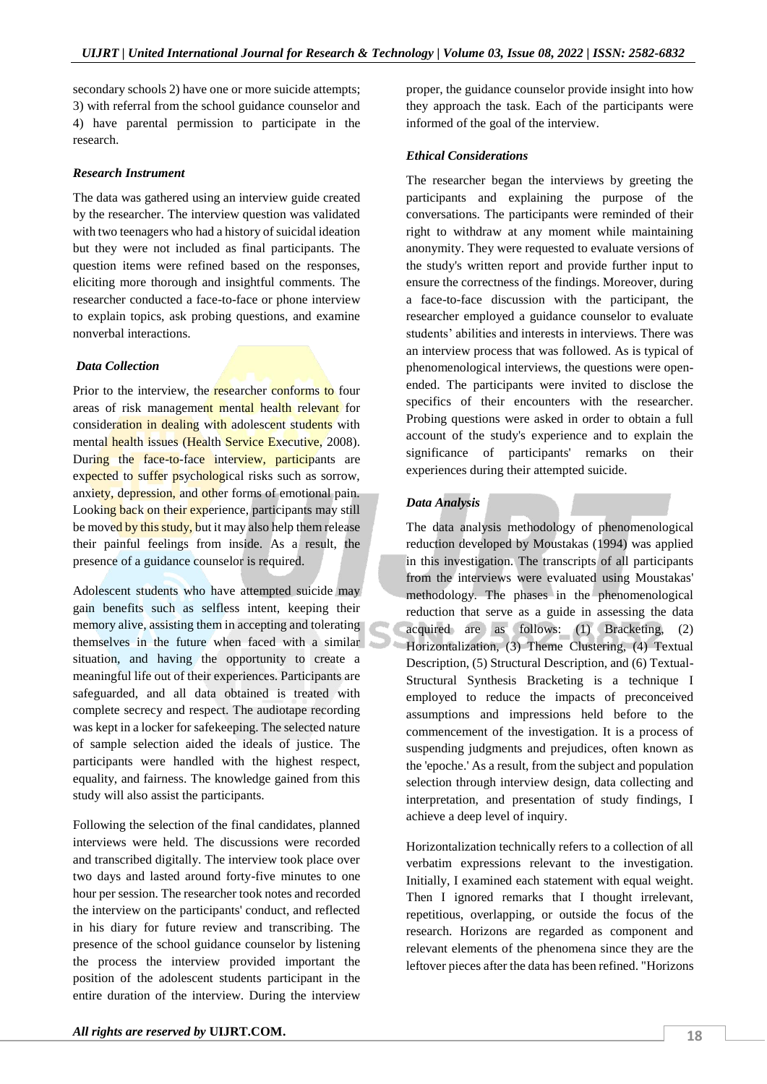secondary schools 2) have one or more suicide attempts; 3) with referral from the school guidance counselor and 4) have parental permission to participate in the research.

#### *Research Instrument*

The data was gathered using an interview guide created by the researcher. The interview question was validated with two teenagers who had a history of suicidal ideation but they were not included as final participants. The question items were refined based on the responses, eliciting more thorough and insightful comments. The researcher conducted a face-to-face or phone interview to explain topics, ask probing questions, and examine nonverbal interactions.

#### *Data Collection*

Prior to the interview, the researcher conforms to four areas of risk management mental health relevant for consideration in dealing with adolescent students with mental health issues (Health Service Executive, 2008). During the face-to-face interview, participants are expected to suffer psychological risks such as sorrow, anxiety, depression, and other forms of emotional pain. Looking back on their experience, participants may still be moved by this study, but it may also help them release their painful feelings from inside. As a result, the presence of a guidance counselor is required.

Adolescent students who have attempted suicide may gain benefits such as selfless intent, keeping their memory alive, assisting them in accepting and tolerating themselves in the future when faced with a similar situation, and having the opportunity to create a meaningful life out of their experiences. Participants are safeguarded, and all data obtained is treated with complete secrecy and respect. The audiotape recording was kept in a locker for safekeeping. The selected nature of sample selection aided the ideals of justice. The participants were handled with the highest respect, equality, and fairness. The knowledge gained from this study will also assist the participants.

Following the selection of the final candidates, planned interviews were held. The discussions were recorded and transcribed digitally. The interview took place over two days and lasted around forty-five minutes to one hour per session. The researcher took notes and recorded the interview on the participants' conduct, and reflected in his diary for future review and transcribing. The presence of the school guidance counselor by listening the process the interview provided important the position of the adolescent students participant in the entire duration of the interview. During the interview

proper, the guidance counselor provide insight into how they approach the task. Each of the participants were informed of the goal of the interview.

#### *Ethical Considerations*

The researcher began the interviews by greeting the participants and explaining the purpose of the conversations. The participants were reminded of their right to withdraw at any moment while maintaining anonymity. They were requested to evaluate versions of the study's written report and provide further input to ensure the correctness of the findings. Moreover, during a face-to-face discussion with the participant, the researcher employed a guidance counselor to evaluate students' abilities and interests in interviews. There was an interview process that was followed. As is typical of phenomenological interviews, the questions were openended. The participants were invited to disclose the specifics of their encounters with the researcher. Probing questions were asked in order to obtain a full account of the study's experience and to explain the significance of participants' remarks on their experiences during their attempted suicide.

# *Data Analysis*

The data analysis methodology of phenomenological reduction developed by Moustakas (1994) was applied in this investigation. The transcripts of all participants from the interviews were evaluated using Moustakas' methodology. The phases in the phenomenological reduction that serve as a guide in assessing the data acquired are as follows: (1) Bracketing, (2) Horizontalization, (3) Theme Clustering, (4) Textual Description, (5) Structural Description, and (6) Textual-Structural Synthesis Bracketing is a technique I employed to reduce the impacts of preconceived assumptions and impressions held before to the commencement of the investigation. It is a process of suspending judgments and prejudices, often known as the 'epoche.' As a result, from the subject and population selection through interview design, data collecting and interpretation, and presentation of study findings, I achieve a deep level of inquiry.

Horizontalization technically refers to a collection of all verbatim expressions relevant to the investigation. Initially, I examined each statement with equal weight. Then I ignored remarks that I thought irrelevant, repetitious, overlapping, or outside the focus of the research. Horizons are regarded as component and relevant elements of the phenomena since they are the leftover pieces after the data has been refined. "Horizons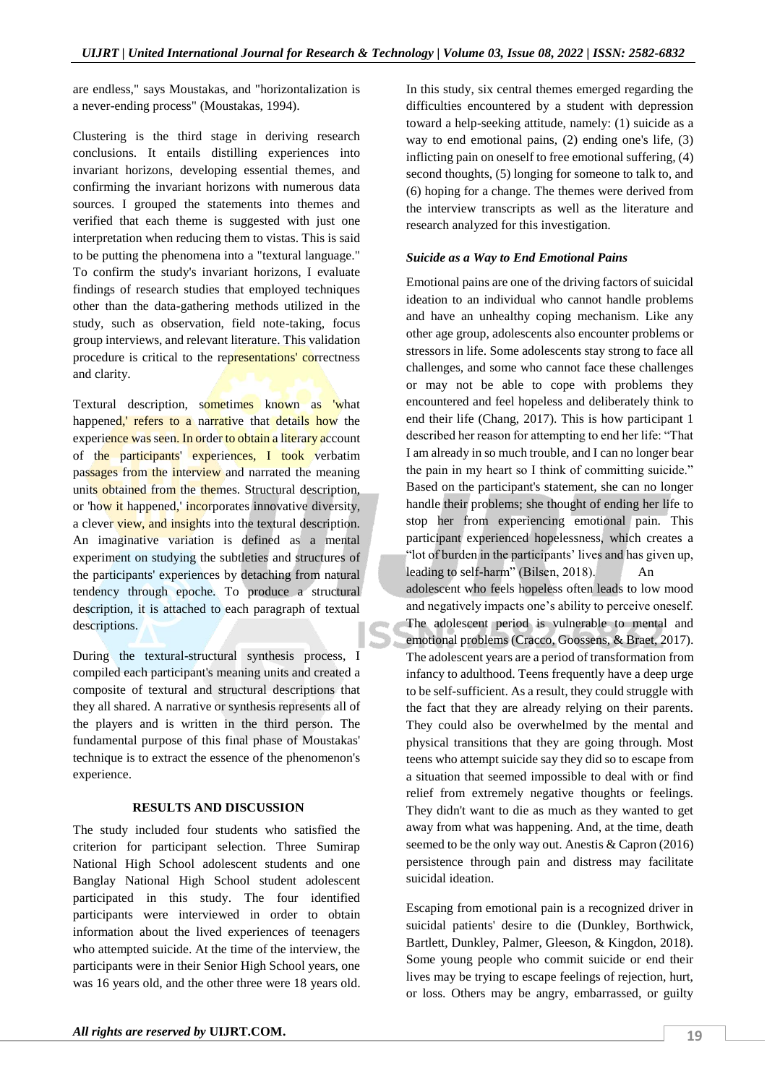are endless," says Moustakas, and "horizontalization is a never-ending process" (Moustakas, 1994).

Clustering is the third stage in deriving research conclusions. It entails distilling experiences into invariant horizons, developing essential themes, and confirming the invariant horizons with numerous data sources. I grouped the statements into themes and verified that each theme is suggested with just one interpretation when reducing them to vistas. This is said to be putting the phenomena into a "textural language." To confirm the study's invariant horizons, I evaluate findings of research studies that employed techniques other than the data-gathering methods utilized in the study, such as observation, field note-taking, focus group interviews, and relevant literature. This validation procedure is critical to the representations' correctness and clarity.

Textural description, sometimes known as 'what happened, refers to a narrative that details how the experience was seen. In order to obtain a literary account of the participants' experiences, I took verbatim passages from the interview and narrated the meaning units obtained from the themes. Structural description, or 'how it happened,' incorporates innovative diversity, a clever view, and insights into the textural description. An imaginative variation is defined as a mental experiment on studying the subtleties and structures of the participants' experiences by detaching from natural tendency through epoche. To produce a structural description, it is attached to each paragraph of textual descriptions.

During the textural-structural synthesis process, I compiled each participant's meaning units and created a composite of textural and structural descriptions that they all shared. A narrative or synthesis represents all of the players and is written in the third person. The fundamental purpose of this final phase of Moustakas' technique is to extract the essence of the phenomenon's experience.

#### **RESULTS AND DISCUSSION**

The study included four students who satisfied the criterion for participant selection. Three Sumirap National High School adolescent students and one Banglay National High School student adolescent participated in this study. The four identified participants were interviewed in order to obtain information about the lived experiences of teenagers who attempted suicide. At the time of the interview, the participants were in their Senior High School years, one was 16 years old, and the other three were 18 years old. In this study, six central themes emerged regarding the difficulties encountered by a student with depression toward a help-seeking attitude, namely: (1) suicide as a way to end emotional pains, (2) ending one's life, (3) inflicting pain on oneself to free emotional suffering, (4) second thoughts, (5) longing for someone to talk to, and (6) hoping for a change. The themes were derived from the interview transcripts as well as the literature and research analyzed for this investigation.

#### *Suicide as a Way to End Emotional Pains*

Emotional pains are one of the driving factors of suicidal ideation to an individual who cannot handle problems and have an unhealthy coping mechanism. Like any other age group, adolescents also encounter problems or stressors in life. Some adolescents stay strong to face all challenges, and some who cannot face these challenges or may not be able to cope with problems they encountered and feel hopeless and deliberately think to end their life (Chang, 2017). This is how participant 1 described her reason for attempting to end her life: "That I am already in so much trouble, and I can no longer bear the pain in my heart so I think of committing suicide." Based on the participant's statement, she can no longer handle their problems; she thought of ending her life to stop her from experiencing emotional pain. This participant experienced hopelessness, which creates a "lot of burden in the participants' lives and has given up, leading to self-harm" (Bilsen, 2018). An adolescent who feels hopeless often leads to low mood and negatively impacts one's ability to perceive oneself. The adolescent period is vulnerable to mental and emotional problems (Cracco, Goossens, & Braet, 2017). The adolescent years are a period of transformation from infancy to adulthood. Teens frequently have a deep urge to be self-sufficient. As a result, they could struggle with the fact that they are already relying on their parents. They could also be overwhelmed by the mental and physical transitions that they are going through. Most teens who attempt suicide say they did so to escape from a situation that seemed impossible to deal with or find relief from extremely negative thoughts or feelings. They didn't want to die as much as they wanted to get away from what was happening. And, at the time, death seemed to be the only way out. Anestis & Capron (2016) persistence through pain and distress may facilitate suicidal ideation.

Escaping from emotional pain is a recognized driver in suicidal patients' desire to die (Dunkley, Borthwick, Bartlett, Dunkley, Palmer, Gleeson, & Kingdon, 2018). Some young people who commit suicide or end their lives may be trying to escape feelings of rejection, hurt, or loss. Others may be angry, embarrassed, or guilty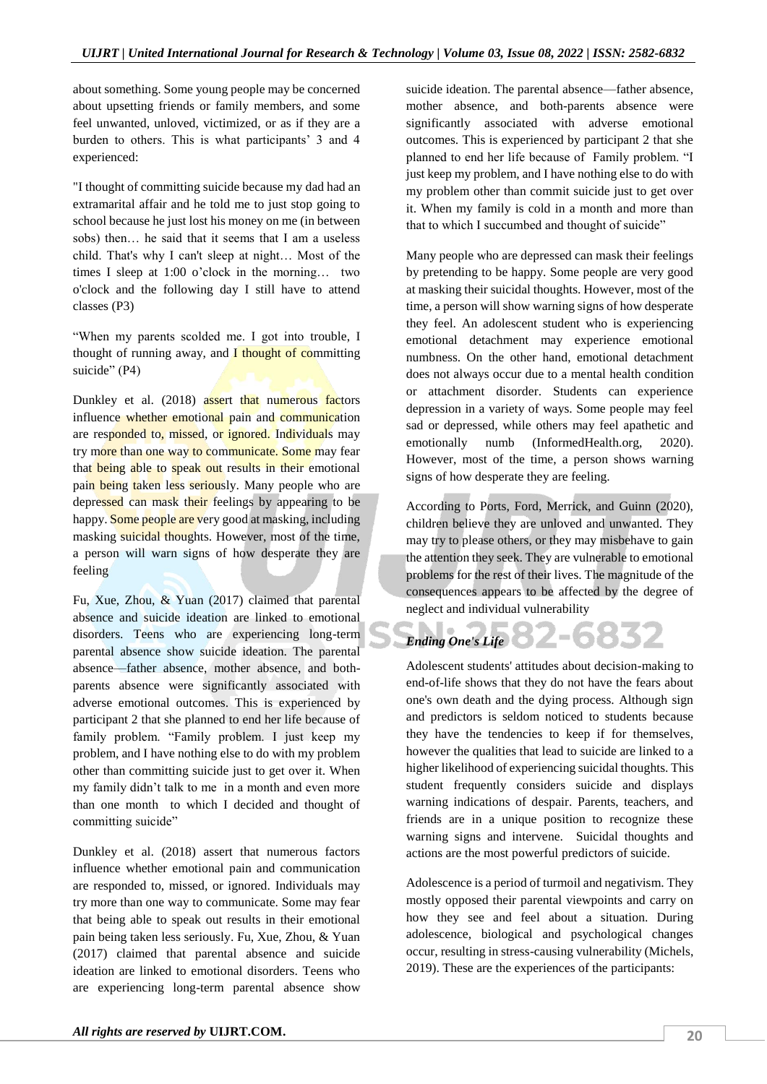about something. Some young people may be concerned about upsetting friends or family members, and some feel unwanted, unloved, victimized, or as if they are a burden to others. This is what participants' 3 and 4 experienced:

"I thought of committing suicide because my dad had an extramarital affair and he told me to just stop going to school because he just lost his money on me (in between sobs) then… he said that it seems that I am a useless child. That's why I can't sleep at night… Most of the times I sleep at 1:00 o'clock in the morning… two o'clock and the following day I still have to attend classes (P3)

"When my parents scolded me. I got into trouble, I thought of running away, and  $\overline{I}$  thought of committing suicide" (P4)

Dunkley et al. (2018) assert that numerous factors influence whether emotional pain and communication are responded to, missed, or ignored. Individuals may try more than one way to communicate. Some may fear that being able to speak out results in their emotional pain being taken less seriously. Many people who are depressed can mask their feelings by appearing to be happy. Some people are very good at masking, including masking suicidal thoughts. However, most of the time, a person will warn signs of how desperate they are feeling

Fu, Xue, Zhou, & Yuan (2017) claimed that parental absence and suicide ideation are linked to emotional disorders. Teens who are experiencing long-term parental absence show suicide ideation. The parental absence—father absence, mother absence, and bothparents absence were significantly associated with adverse emotional outcomes. This is experienced by participant 2 that she planned to end her life because of family problem. "Family problem. I just keep my problem, and I have nothing else to do with my problem other than committing suicide just to get over it. When my family didn't talk to me in a month and even more than one month to which I decided and thought of committing suicide"

Dunkley et al. (2018) assert that numerous factors influence whether emotional pain and communication are responded to, missed, or ignored. Individuals may try more than one way to communicate. Some may fear that being able to speak out results in their emotional pain being taken less seriously. Fu, Xue, Zhou, & Yuan (2017) claimed that parental absence and suicide ideation are linked to emotional disorders. Teens who are experiencing long-term parental absence show

suicide ideation. The parental absence—father absence, mother absence, and both-parents absence were significantly associated with adverse emotional outcomes. This is experienced by participant 2 that she planned to end her life because of Family problem. "I just keep my problem, and I have nothing else to do with my problem other than commit suicide just to get over it. When my family is cold in a month and more than that to which I succumbed and thought of suicide"

Many people who are depressed can mask their feelings by pretending to be happy. Some people are very good at masking their suicidal thoughts. However, most of the time, a person will show warning signs of how desperate they feel. An adolescent student who is experiencing emotional detachment may experience emotional numbness. On the other hand, emotional detachment does not always occur due to a mental health condition or attachment disorder. Students can experience depression in a variety of ways. Some people may feel sad or depressed, while others may feel apathetic and emotionally numb (InformedHealth.org, 2020). However, most of the time, a person shows warning signs of how desperate they are feeling.

According to Ports, Ford, Merrick, and Guinn (2020), children believe they are unloved and unwanted. They may try to please others, or they may misbehave to gain the attention they seek. They are vulnerable to emotional problems for the rest of their lives. The magnitude of the consequences appears to be affected by the degree of neglect and individual vulnerability

#### T e 12-6832 *Ending One's Life*

Adolescent students' attitudes about decision-making to end-of-life shows that they do not have the fears about one's own death and the dying process. Although sign and predictors is seldom noticed to students because they have the tendencies to keep if for themselves, however the qualities that lead to suicide are linked to a higher likelihood of experiencing suicidal thoughts. This student frequently considers suicide and displays warning indications of despair. Parents, teachers, and friends are in a unique position to recognize these warning signs and intervene. Suicidal thoughts and actions are the most powerful predictors of suicide.

Adolescence is a period of turmoil and negativism. They mostly opposed their parental viewpoints and carry on how they see and feel about a situation. During adolescence, biological and psychological changes occur, resulting in stress-causing vulnerability (Michels, 2019). These are the experiences of the participants: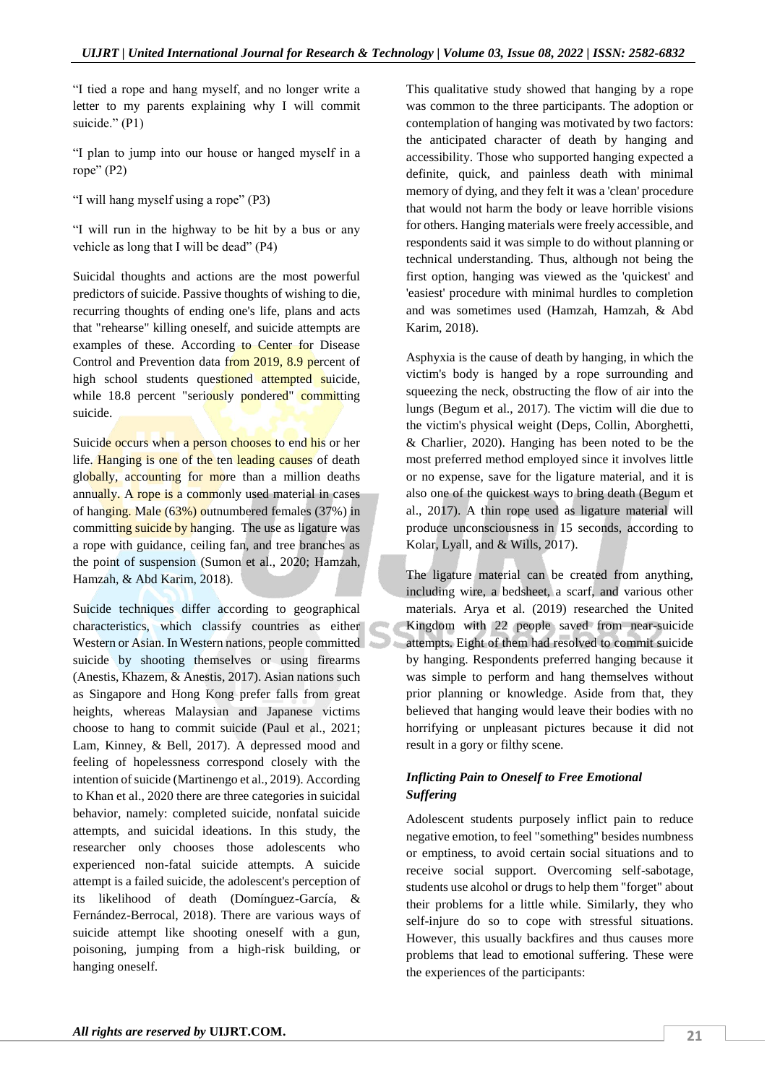"I tied a rope and hang myself, and no longer write a letter to my parents explaining why I will commit suicide." (P1)

"I plan to jump into our house or hanged myself in a rope" (P2)

"I will hang myself using a rope" (P3)

"I will run in the highway to be hit by a bus or any vehicle as long that I will be dead" (P4)

Suicidal thoughts and actions are the most powerful predictors of suicide. Passive thoughts of wishing to die, recurring thoughts of ending one's life, plans and acts that "rehearse" killing oneself, and suicide attempts are examples of these. According to Center for Disease Control and Prevention data from 2019, 8.9 percent of high school students questioned attempted suicide, while 18.8 percent "seriously pondered" committing suicide.

Suicide occurs when a person chooses to end his or her life. Hanging is one of the ten leading causes of death globally, accounting for more than a million deaths annually. A rope is a commonly used material in cases of hanging. Male (63%) outnumbered females (37%) in committing suicide by hanging. The use as ligature was a rope with guidance, ceiling fan, and tree branches as the point of suspension (Sumon et al., 2020; Hamzah, Hamzah, & Abd Karim, 2018).

Suicide techniques differ according to geographical characteristics, which classify countries as either Western or Asian. In Western nations, people committed suicide by shooting themselves or using firearms (Anestis, Khazem, & Anestis, 2017). Asian nations such as Singapore and Hong Kong prefer falls from great heights, whereas Malaysian and Japanese victims choose to hang to commit suicide (Paul et al., 2021; Lam, Kinney, & Bell, 2017). A depressed mood and feeling of hopelessness correspond closely with the intention of suicide (Martinengo et al., 2019). According to Khan et al., 2020 there are three categories in suicidal behavior, namely: completed suicide, nonfatal suicide attempts, and suicidal ideations. In this study, the researcher only chooses those adolescents who experienced non-fatal suicide attempts. A suicide attempt is a failed suicide, the adolescent's perception of its likelihood of death (Domínguez-García, & Fernández-Berrocal, 2018). There are various ways of suicide attempt like shooting oneself with a gun, poisoning, jumping from a high-risk building, or hanging oneself.

This qualitative study showed that hanging by a rope was common to the three participants. The adoption or contemplation of hanging was motivated by two factors: the anticipated character of death by hanging and accessibility. Those who supported hanging expected a definite, quick, and painless death with minimal memory of dying, and they felt it was a 'clean' procedure that would not harm the body or leave horrible visions for others. Hanging materials were freely accessible, and respondents said it was simple to do without planning or technical understanding. Thus, although not being the first option, hanging was viewed as the 'quickest' and 'easiest' procedure with minimal hurdles to completion and was sometimes used (Hamzah, Hamzah, & Abd Karim, 2018).

Asphyxia is the cause of death by hanging, in which the victim's body is hanged by a rope surrounding and squeezing the neck, obstructing the flow of air into the lungs (Begum et al., 2017). The victim will die due to the victim's physical weight (Deps, Collin, Aborghetti, & Charlier, 2020). Hanging has been noted to be the most preferred method employed since it involves little or no expense, save for the ligature material, and it is also one of the quickest ways to bring death (Begum et al., 2017). A thin rope used as ligature material will produce unconsciousness in 15 seconds, according to Kolar, Lyall, and & Wills, 2017).

The ligature material can be created from anything, including wire, a bedsheet, a scarf, and various other materials. Arya et al. (2019) researched the United Kingdom with 22 people saved from near-suicide attempts. Eight of them had resolved to commit suicide by hanging. Respondents preferred hanging because it was simple to perform and hang themselves without prior planning or knowledge. Aside from that, they believed that hanging would leave their bodies with no horrifying or unpleasant pictures because it did not result in a gory or filthy scene.

# *Inflicting Pain to Oneself to Free Emotional Suffering*

Adolescent students purposely inflict pain to reduce negative emotion, to feel "something" besides numbness or emptiness, to avoid certain social situations and to receive social support. Overcoming self-sabotage, students use alcohol or drugs to help them "forget" about their problems for a little while. Similarly, they who self-injure do so to cope with stressful situations. However, this usually backfires and thus causes more problems that lead to emotional suffering. These were the experiences of the participants: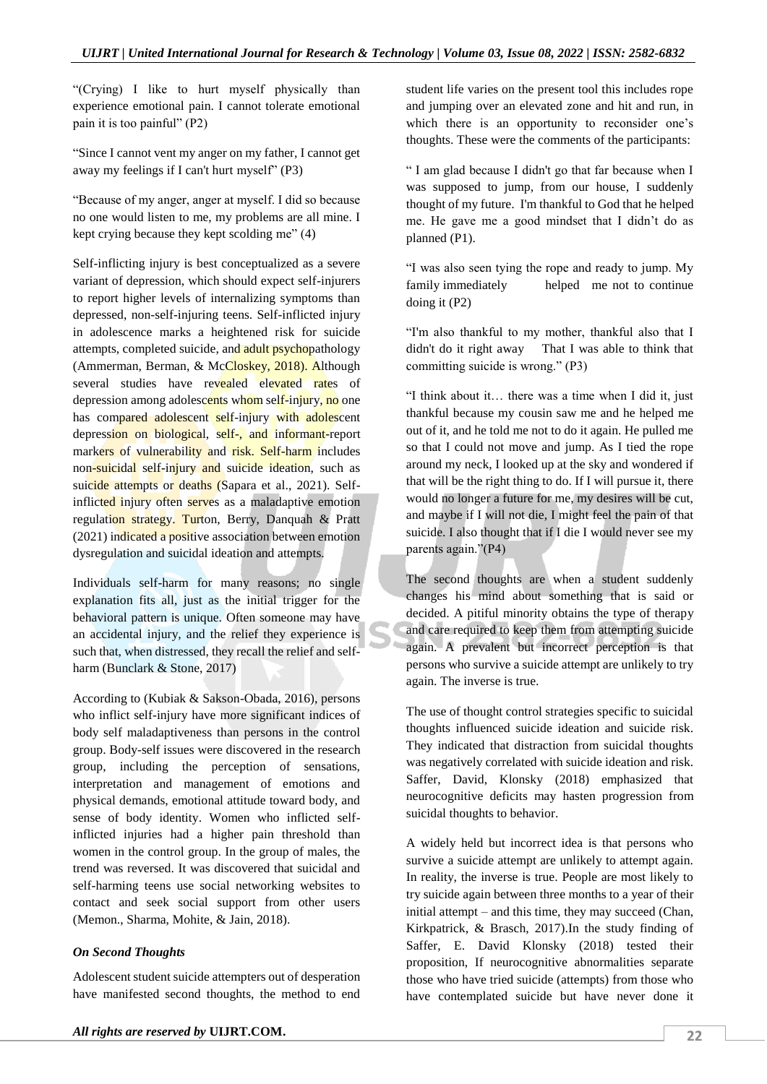"(Crying) I like to hurt myself physically than experience emotional pain. I cannot tolerate emotional pain it is too painful" (P2)

"Since I cannot vent my anger on my father, I cannot get away my feelings if I can't hurt myself" (P3)

"Because of my anger, anger at myself. I did so because no one would listen to me, my problems are all mine. I kept crying because they kept scolding me" (4)

Self-inflicting injury is best conceptualized as a severe variant of depression, which should expect self-injurers to report higher levels of internalizing symptoms than depressed, non-self-injuring teens. Self-inflicted injury in adolescence marks a heightened risk for suicide attempts, completed suicide, and adult psychopathology (Ammerman, Berman, & McCloskey, 2018). Although several studies have revealed elevated rates of depression among adolescents whom self-injury, no one has compared adolescent self-injury with adolescent depression on biological, self-, and informant-report markers of vulnerability and risk. Self-harm includes non-suicidal self-injury and suicide ideation, such as suicide attempts or deaths (Sapara et al., 2021). Selfinflicted injury often serves as a maladaptive emotion regulation strategy. Turton, Berry, Danquah & Pratt (2021) indicated a positive association between emotion dysregulation and suicidal ideation and attempts.

Individuals self-harm for many reasons; no single explanation fits all, just as the initial trigger for the behavioral pattern is unique. Often someone may have an accidental injury, and the relief they experience is such that, when distressed, they recall the relief and selfharm (Bunclark & Stone, 2017)

According to (Kubiak & Sakson-Obada, 2016), persons who inflict self-injury have more significant indices of body self maladaptiveness than persons in the control group. Body-self issues were discovered in the research group, including the perception of sensations, interpretation and management of emotions and physical demands, emotional attitude toward body, and sense of body identity. Women who inflicted selfinflicted injuries had a higher pain threshold than women in the control group. In the group of males, the trend was reversed. It was discovered that suicidal and self-harming teens use social networking websites to contact and seek social support from other users (Memon., Sharma, Mohite, & Jain, 2018).

# *On Second Thoughts*

Adolescent student suicide attempters out of desperation have manifested second thoughts, the method to end student life varies on the present tool this includes rope and jumping over an elevated zone and hit and run, in which there is an opportunity to reconsider one's thoughts. These were the comments of the participants:

" I am glad because I didn't go that far because when I was supposed to jump, from our house, I suddenly thought of my future. I'm thankful to God that he helped me. He gave me a good mindset that I didn't do as planned (P1).

"I was also seen tying the rope and ready to jump. My family immediately helped me not to continue doing it (P2)

"I'm also thankful to my mother, thankful also that I didn't do it right away That I was able to think that committing suicide is wrong." (P3)

"I think about it… there was a time when I did it, just thankful because my cousin saw me and he helped me out of it, and he told me not to do it again. He pulled me so that I could not move and jump. As I tied the rope around my neck, I looked up at the sky and wondered if that will be the right thing to do. If I will pursue it, there would no longer a future for me, my desires will be cut, and maybe if I will not die, I might feel the pain of that suicide. I also thought that if I die I would never see my parents again."(P4)

The second thoughts are when a student suddenly changes his mind about something that is said or decided. A pitiful minority obtains the type of therapy and care required to keep them from attempting suicide again. A prevalent but incorrect perception is that persons who survive a suicide attempt are unlikely to try again. The inverse is true.

The use of thought control strategies specific to suicidal thoughts influenced suicide ideation and suicide risk. They indicated that distraction from suicidal thoughts was negatively correlated with suicide ideation and risk. Saffer, David, Klonsky (2018) emphasized that neurocognitive deficits may hasten progression from suicidal thoughts to behavior.

A widely held but incorrect idea is that persons who survive a suicide attempt are unlikely to attempt again. In reality, the inverse is true. People are most likely to try suicide again between three months to a year of their initial attempt – and this time, they may succeed (Chan, Kirkpatrick, & Brasch, 2017).In the study finding of Saffer, E. David Klonsky (2018) tested their proposition, If neurocognitive abnormalities separate those who have tried suicide (attempts) from those who have contemplated suicide but have never done it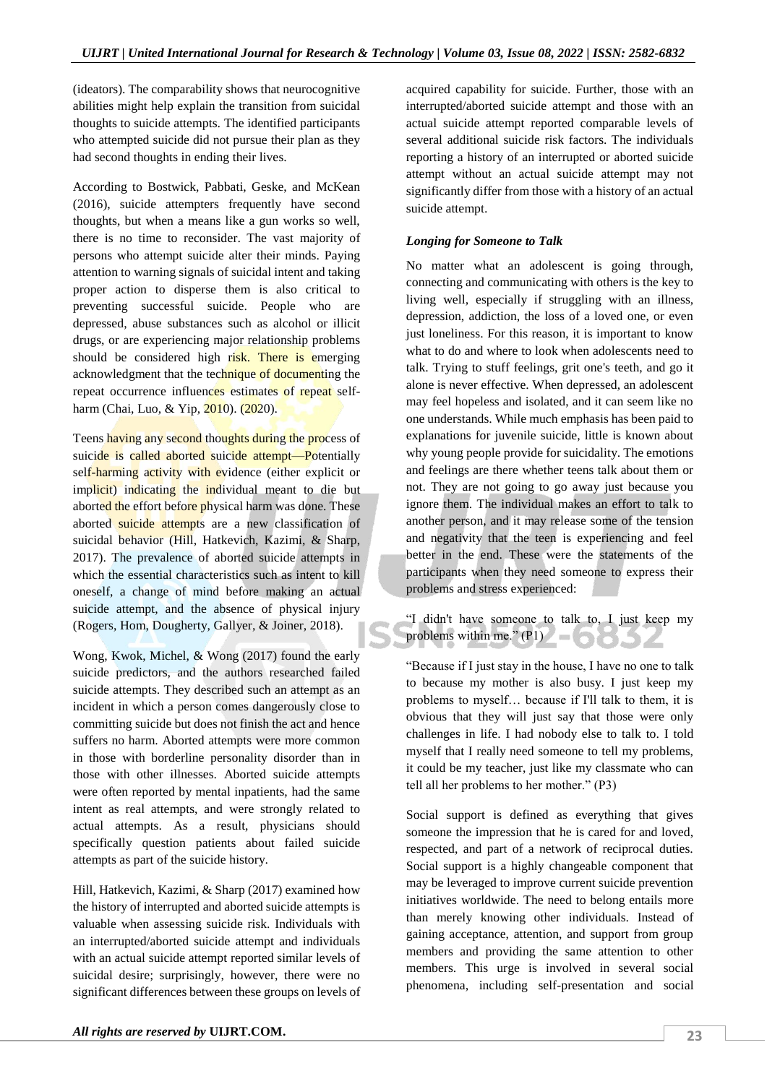(ideators). The comparability shows that neurocognitive abilities might help explain the transition from suicidal thoughts to suicide attempts. The identified participants who attempted suicide did not pursue their plan as they had second thoughts in ending their lives.

According to Bostwick, Pabbati, Geske, and McKean (2016), suicide attempters frequently have second thoughts, but when a means like a gun works so well, there is no time to reconsider. The vast majority of persons who attempt suicide alter their minds. Paying attention to warning signals of suicidal intent and taking proper action to disperse them is also critical to preventing successful suicide. People who are depressed, abuse substances such as alcohol or illicit drugs, or are experiencing major relationship problems should be considered high risk. There is emerging acknowledgment that the technique of documenting the repeat occurrence influences estimates of repeat selfharm (Chai, Luo, & Yip, 2010). (2020).

Teens having any second thoughts during the process of suicide is called aborted suicide attempt—Potentially self-harming activity with evidence (either explicit or implicit) indicating the individual meant to die but aborted the effort before physical harm was done. These aborted suicide attempts are a new classification of suicidal behavior (Hill, Hatkevich, Kazimi, & Sharp, 2017). The prevalence of aborted suicide attempts in which the essential characteristics such as intent to kill oneself, a change of mind before making an actual suicide attempt, and the absence of physical injury (Rogers, Hom, Dougherty, Gallyer, & Joiner, 2018).

Wong, Kwok, Michel, & Wong (2017) found the early suicide predictors, and the authors researched failed suicide attempts. They described such an attempt as an incident in which a person comes dangerously close to committing suicide but does not finish the act and hence suffers no harm. Aborted attempts were more common in those with borderline personality disorder than in those with other illnesses. Aborted suicide attempts were often reported by mental inpatients, had the same intent as real attempts, and were strongly related to actual attempts. As a result, physicians should specifically question patients about failed suicide attempts as part of the suicide history.

Hill, Hatkevich, Kazimi, & Sharp (2017) examined how the history of interrupted and aborted suicide attempts is valuable when assessing suicide risk. Individuals with an interrupted/aborted suicide attempt and individuals with an actual suicide attempt reported similar levels of suicidal desire; surprisingly, however, there were no significant differences between these groups on levels of acquired capability for suicide. Further, those with an interrupted/aborted suicide attempt and those with an actual suicide attempt reported comparable levels of several additional suicide risk factors. The individuals reporting a history of an interrupted or aborted suicide attempt without an actual suicide attempt may not significantly differ from those with a history of an actual suicide attempt.

# *Longing for Someone to Talk*

No matter what an adolescent is going through, connecting and communicating with others is the key to living well, especially if struggling with an illness, depression, addiction, the loss of a loved one, or even just loneliness. For this reason, it is important to know what to do and where to look when adolescents need to talk. Trying to stuff feelings, grit one's teeth, and go it alone is never effective. When depressed, an adolescent may feel hopeless and isolated, and it can seem like no one understands. While much emphasis has been paid to explanations for juvenile suicide, little is known about why young people provide for suicidality. The emotions and feelings are there whether teens talk about them or not. They are not going to go away just because you ignore them. The individual makes an effort to talk to another person, and it may release some of the tension and negativity that the teen is experiencing and feel better in the end. These were the statements of the participants when they need someone to express their problems and stress experienced:

"I didn't have someone to talk to, I just keep my problems within me."  $(PI)$ 

"Because if I just stay in the house, I have no one to talk to because my mother is also busy. I just keep my problems to myself… because if I'll talk to them, it is obvious that they will just say that those were only challenges in life. I had nobody else to talk to. I told myself that I really need someone to tell my problems, it could be my teacher, just like my classmate who can tell all her problems to her mother." (P3)

Social support is defined as everything that gives someone the impression that he is cared for and loved, respected, and part of a network of reciprocal duties. Social support is a highly changeable component that may be leveraged to improve current suicide prevention initiatives worldwide. The need to belong entails more than merely knowing other individuals. Instead of gaining acceptance, attention, and support from group members and providing the same attention to other members. This urge is involved in several social phenomena, including self-presentation and social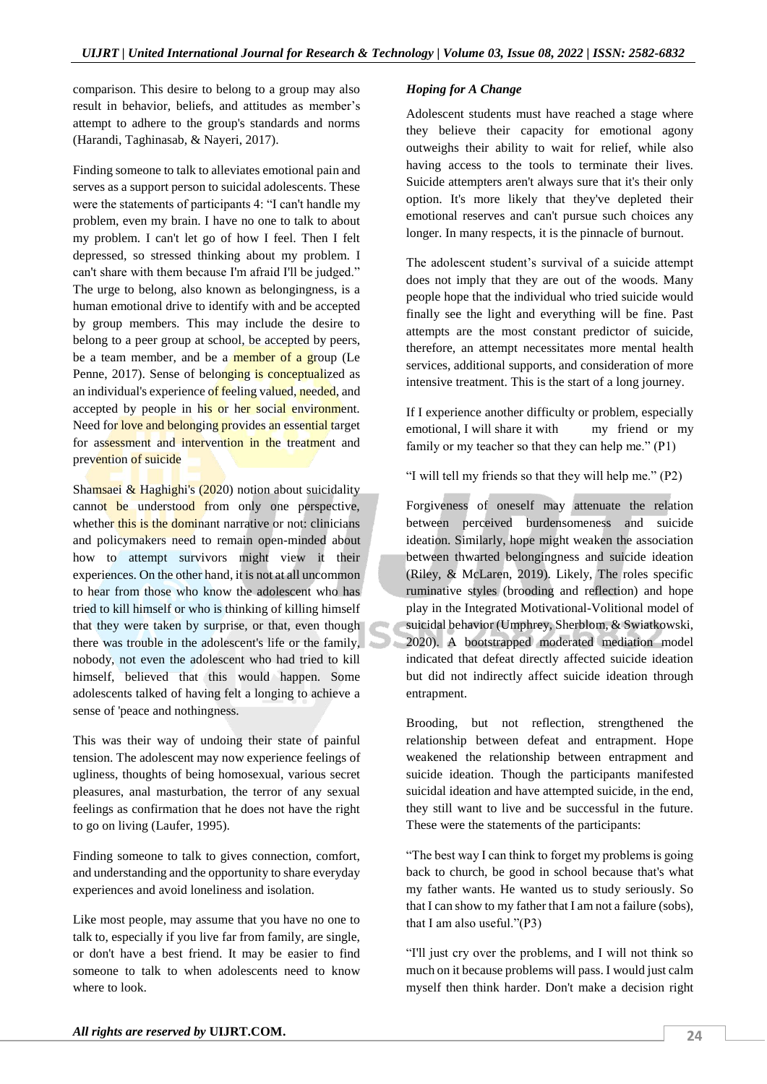comparison. This desire to belong to a group may also result in behavior, beliefs, and attitudes as member's attempt to adhere to the group's standards and norms (Harandi, Taghinasab, & Nayeri, 2017).

Finding someone to talk to alleviates emotional pain and serves as a support person to suicidal adolescents. These were the statements of participants 4: "I can't handle my problem, even my brain. I have no one to talk to about my problem. I can't let go of how I feel. Then I felt depressed, so stressed thinking about my problem. I can't share with them because I'm afraid I'll be judged." The urge to belong, also known as belongingness, is a human emotional drive to identify with and be accepted by group members. This may include the desire to belong to a peer group at school, be accepted by peers, be a team member, and be a member of a group (Le Penne, 2017). Sense of belonging is conceptualized as an individual's experience of feeling valued, needed, and accepted by people in his or her social environment. Need for love and belonging provides an essential target for assessment and intervention in the treatment and prevention of suicide

Shamsaei & Haghighi's (2020) notion about suicidality cannot be understood from only one perspective, whether this is the dominant narrative or not: clinicians and policymakers need to remain open-minded about how to attempt survivors might view it their experiences. On the other hand, it is not at all uncommon to hear from those who know the adolescent who has tried to kill himself or who is thinking of killing himself that they were taken by surprise, or that, even though there was trouble in the adolescent's life or the family, nobody, not even the adolescent who had tried to kill himself, believed that this would happen. Some adolescents talked of having felt a longing to achieve a sense of 'peace and nothingness.

This was their way of undoing their state of painful tension. The adolescent may now experience feelings of ugliness, thoughts of being homosexual, various secret pleasures, anal masturbation, the terror of any sexual feelings as confirmation that he does not have the right to go on living (Laufer, 1995).

Finding someone to talk to gives connection, comfort, and understanding and the opportunity to share everyday experiences and avoid loneliness and isolation.

Like most people, may assume that you have no one to talk to, especially if you live far from family, are single, or don't have a best friend. It may be easier to find someone to talk to when adolescents need to know where to look.

# *Hoping for A Change*

Adolescent students must have reached a stage where they believe their capacity for emotional agony outweighs their ability to wait for relief, while also having access to the tools to terminate their lives. Suicide attempters aren't always sure that it's their only option. It's more likely that they've depleted their emotional reserves and can't pursue such choices any longer. In many respects, it is the pinnacle of burnout.

The adolescent student's survival of a suicide attempt does not imply that they are out of the woods. Many people hope that the individual who tried suicide would finally see the light and everything will be fine. Past attempts are the most constant predictor of suicide, therefore, an attempt necessitates more mental health services, additional supports, and consideration of more intensive treatment. This is the start of a long journey.

If I experience another difficulty or problem, especially emotional, I will share it with my friend or my family or my teacher so that they can help me." (P1)

"I will tell my friends so that they will help me." (P2)

Forgiveness of oneself may attenuate the relation between perceived burdensomeness and suicide ideation. Similarly, hope might weaken the association between thwarted belongingness and suicide ideation (Riley, & McLaren, 2019). Likely, The roles specific ruminative styles (brooding and reflection) and hope play in the Integrated Motivational-Volitional model of suicidal behavior (Umphrey, Sherblom, & Swiatkowski, 2020). A bootstrapped moderated mediation model indicated that defeat directly affected suicide ideation but did not indirectly affect suicide ideation through entrapment.

Brooding, but not reflection, strengthened the relationship between defeat and entrapment. Hope weakened the relationship between entrapment and suicide ideation. Though the participants manifested suicidal ideation and have attempted suicide, in the end, they still want to live and be successful in the future. These were the statements of the participants:

"The best way I can think to forget my problems is going back to church, be good in school because that's what my father wants. He wanted us to study seriously. So that I can show to my father that I am not a failure (sobs), that I am also useful."(P3)

"I'll just cry over the problems, and I will not think so much on it because problems will pass. I would just calm myself then think harder. Don't make a decision right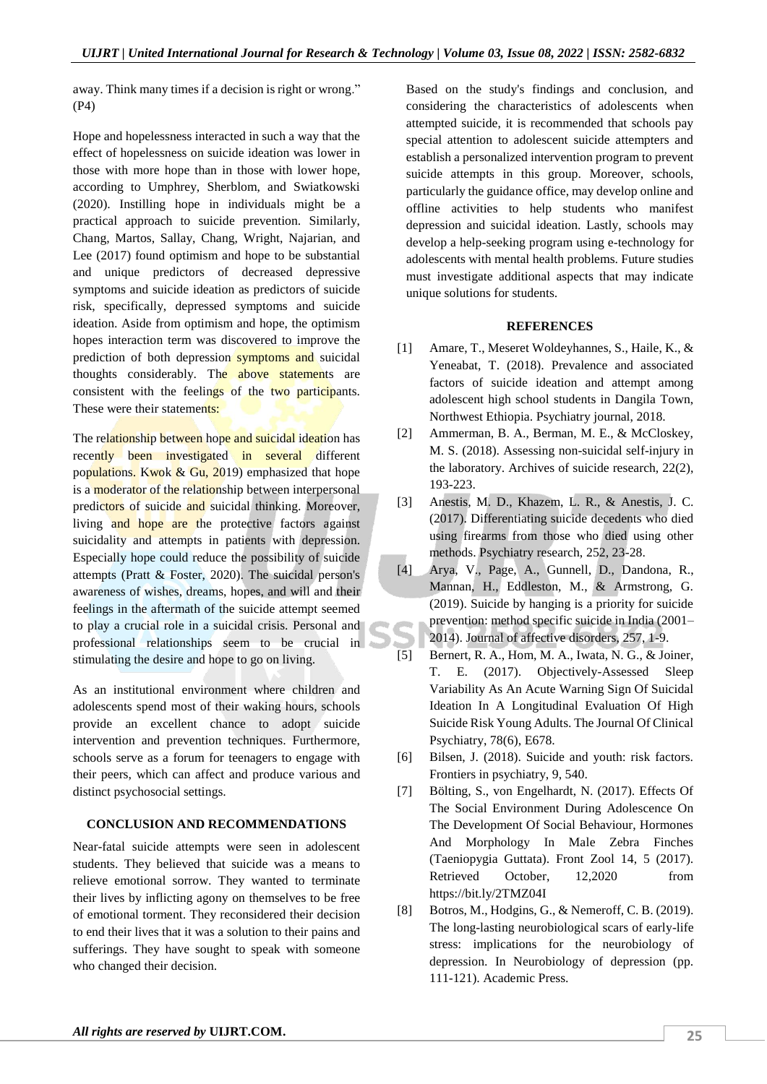away. Think many times if a decision is right or wrong." (P4)

Hope and hopelessness interacted in such a way that the effect of hopelessness on suicide ideation was lower in those with more hope than in those with lower hope, according to Umphrey, Sherblom, and Swiatkowski (2020). Instilling hope in individuals might be a practical approach to suicide prevention. Similarly, Chang, Martos, Sallay, Chang, Wright, Najarian, and Lee (2017) found optimism and hope to be substantial and unique predictors of decreased depressive symptoms and suicide ideation as predictors of suicide risk, specifically, depressed symptoms and suicide ideation. Aside from optimism and hope, the optimism hopes interaction term was discovered to improve the prediction of both depression symptoms and suicidal thoughts considerably. The above statements are consistent with the feelings of the two participants. These were their statements:

The relationship between hope and suicidal ideation has recently been investigated in several different populations. Kwok & Gu, 2019) emphasized that hope is a moderator of the relationship between interpersonal predictors of suicide and suicidal thinking. Moreover, living and hope are the protective factors against suicidality and attempts in patients with depression. Especially hope could reduce the possibility of suicide attempts (Pratt & Foster, 2020). The suicidal person's awareness of wishes, dreams, hopes, and will and their feelings in the aftermath of the suicide attempt seemed to play a crucial role in a suicidal crisis. Personal and professional relationships seem to be crucial in stimulating the desire and hope to go on living.

As an institutional environment where children and adolescents spend most of their waking hours, schools provide an excellent chance to adopt suicide intervention and prevention techniques. Furthermore, schools serve as a forum for teenagers to engage with their peers, which can affect and produce various and distinct psychosocial settings.

#### **CONCLUSION AND RECOMMENDATIONS**

Near-fatal suicide attempts were seen in adolescent students. They believed that suicide was a means to relieve emotional sorrow. They wanted to terminate their lives by inflicting agony on themselves to be free of emotional torment. They reconsidered their decision to end their lives that it was a solution to their pains and sufferings. They have sought to speak with someone who changed their decision.

Based on the study's findings and conclusion, and considering the characteristics of adolescents when attempted suicide, it is recommended that schools pay special attention to adolescent suicide attempters and establish a personalized intervention program to prevent suicide attempts in this group. Moreover, schools, particularly the guidance office, may develop online and offline activities to help students who manifest depression and suicidal ideation. Lastly, schools may develop a help-seeking program using e-technology for adolescents with mental health problems. Future studies must investigate additional aspects that may indicate unique solutions for students.

#### **REFERENCES**

- [1] Amare, T., Meseret Woldeyhannes, S., Haile, K., & Yeneabat, T. (2018). Prevalence and associated factors of suicide ideation and attempt among adolescent high school students in Dangila Town, Northwest Ethiopia. Psychiatry journal, 2018.
- [2] Ammerman, B. A., Berman, M. E., & McCloskey, M. S. (2018). Assessing non-suicidal self-injury in the laboratory. Archives of suicide research, 22(2), 193-223.
- [3] Anestis, M. D., Khazem, L. R., & Anestis, J. C. (2017). Differentiating suicide decedents who died using firearms from those who died using other methods. Psychiatry research, 252, 23-28.
- [4] Arya, V., Page, A., Gunnell, D., Dandona, R., Mannan, H., Eddleston, M., & Armstrong, G. (2019). Suicide by hanging is a priority for suicide prevention: method specific suicide in India (2001– 2014). Journal of affective disorders, 257, 1-9.
- [5] Bernert, R. A., Hom, M. A., Iwata, N. G., & Joiner, T. E. (2017). Objectively-Assessed Sleep Variability As An Acute Warning Sign Of Suicidal Ideation In A Longitudinal Evaluation Of High Suicide Risk Young Adults. The Journal Of Clinical Psychiatry, 78(6), E678.
- [6] Bilsen, J. (2018). Suicide and youth: risk factors. Frontiers in psychiatry, 9, 540.
- [7] Bölting, S., von Engelhardt, N. (2017). Effects Of The Social Environment During Adolescence On The Development Of Social Behaviour, Hormones And Morphology In Male Zebra Finches (Taeniopygia Guttata). Front Zool 14, 5 (2017). Retrieved October, 12,2020 from https://bit.ly/2TMZ04I
- [8] Botros, M., Hodgins, G., & Nemeroff, C. B. (2019). The long-lasting neurobiological scars of early-life stress: implications for the neurobiology of depression. In Neurobiology of depression (pp. 111-121). Academic Press.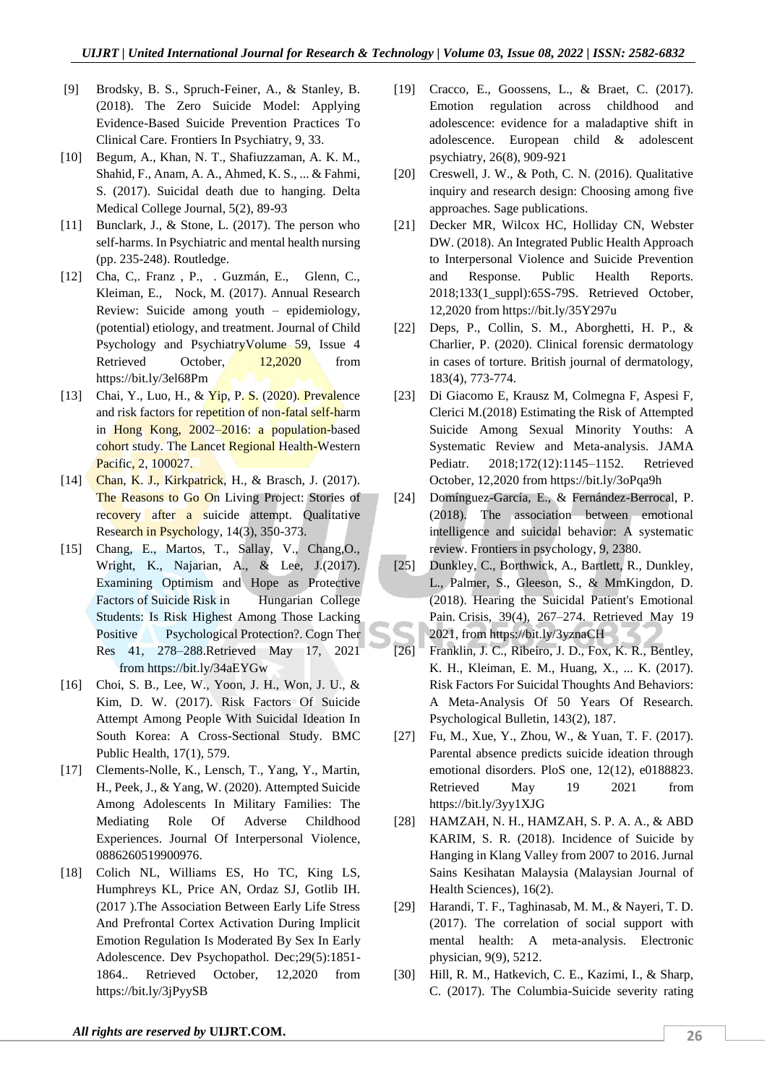- [9] Brodsky, B. S., Spruch-Feiner, A., & Stanley, B. (2018). The Zero Suicide Model: Applying Evidence-Based Suicide Prevention Practices To Clinical Care. Frontiers In Psychiatry, 9, 33.
- [10] Begum, A., Khan, N. T., Shafiuzzaman, A. K. M., Shahid, F., Anam, A. A., Ahmed, K. S., ... & Fahmi, S. (2017). Suicidal death due to hanging. Delta Medical College Journal, 5(2), 89-93
- [11] Bunclark, J., & Stone, L. (2017). The person who self-harms. In Psychiatric and mental health nursing (pp. 235-248). Routledge.
- [12] Cha, C,. Franz , P., . Guzmán, E., Glenn, C., Kleiman, E., Nock, M. (2017). Annual Research Review: Suicide among youth – epidemiology, (potential) etiology, and treatment. Journal of Child Psychology and PsychiatryVolume 59, Issue 4 Retrieved October, 12,2020 from https://bit.ly/3el68Pm
- [13] Chai, Y., Luo, H., & Yip, P. S. (2020). Prevalence and risk factors for repetition of non-fatal self-harm in Hong Kong, 2002–2016: a population-based cohort study. The Lancet Regional Health-Western Pacific, 2, 100027.
- [14] Chan, K. J., Kirkpatrick, H., & Brasch, J. (2017). The Reasons to Go On Living Project: Stories of recovery after a suicide attempt. Qualitative Research in Psychology, 14(3), 350-373.
- [15] Chang, E., Martos, T., Sallay, V., Chang,O., Wright, K., Najarian, A., & Lee, J.(2017). Examining Optimism and Hope as Protective Factors of Suicide Risk in Hungarian College Students: Is Risk Highest Among Those Lacking Positive Psychological Protection?. Cogn Ther Res 41, 278–288.Retrieved May 17, 2021 from https://bit.ly/34aEYGw
- [16] Choi, S. B., Lee, W., Yoon, J. H., Won, J. U., & Kim, D. W. (2017). Risk Factors Of Suicide Attempt Among People With Suicidal Ideation In South Korea: A Cross-Sectional Study. BMC Public Health, 17(1), 579.
- [17] Clements-Nolle, K., Lensch, T., Yang, Y., Martin, H., Peek, J., & Yang, W. (2020). Attempted Suicide Among Adolescents In Military Families: The Mediating Role Of Adverse Childhood Experiences. Journal Of Interpersonal Violence, 0886260519900976.
- [18] Colich NL, Williams ES, Ho TC, King LS, Humphreys KL, Price AN, Ordaz SJ, Gotlib IH. (2017 ).The Association Between Early Life Stress And Prefrontal Cortex Activation During Implicit Emotion Regulation Is Moderated By Sex In Early Adolescence. Dev Psychopathol. Dec;29(5):1851- 1864.. Retrieved October, 12,2020 from https://bit.ly/3jPyySB
- [19] Cracco, E., Goossens, L., & Braet, C. (2017). Emotion regulation across childhood and adolescence: evidence for a maladaptive shift in adolescence. European child & adolescent psychiatry, 26(8), 909-921
- [20] Creswell, J. W., & Poth, C. N. (2016). Qualitative inquiry and research design: Choosing among five approaches. Sage publications.
- [21] Decker MR, Wilcox HC, Holliday CN, Webster DW. (2018). An Integrated Public Health Approach to Interpersonal Violence and Suicide Prevention and Response. Public Health Reports. 2018;133(1\_suppl):65S-79S. Retrieved October, 12,2020 from https://bit.ly/35Y297u
- [22] Deps, P., Collin, S. M., Aborghetti, H. P., & Charlier, P. (2020). Clinical forensic dermatology in cases of torture. British journal of dermatology, 183(4), 773-774.
- [23] Di Giacomo E, Krausz M, Colmegna F, Aspesi F, Clerici M.(2018) Estimating the Risk of Attempted Suicide Among Sexual Minority Youths: A Systematic Review and Meta-analysis. JAMA Pediatr. 2018;172(12):1145–1152. Retrieved October, 12,2020 from https://bit.ly/3oPqa9h
- [24] Domínguez-García, E., & Fernández-Berrocal, P. (2018). The association between emotional intelligence and suicidal behavior: A systematic review. Frontiers in psychology, 9, 2380.
- [25] Dunkley, C., Borthwick, A., Bartlett, R., Dunkley, L., Palmer, S., Gleeson, S., & MmKingdon, D. (2018). Hearing the Suicidal Patient's Emotional Pain. Crisis, 39(4), 267–274. Retrieved May 19 2021, from https://bit.ly/3yznaCH
- [26] Franklin, J. C., Ribeiro, J. D., Fox, K. R., Bentley, K. H., Kleiman, E. M., Huang, X., ... K. (2017). Risk Factors For Suicidal Thoughts And Behaviors: A Meta-Analysis Of 50 Years Of Research. Psychological Bulletin, 143(2), 187.
- [27] Fu, M., Xue, Y., Zhou, W., & Yuan, T. F. (2017). Parental absence predicts suicide ideation through emotional disorders. PloS one, 12(12), e0188823. Retrieved May 19 2021 from https://bit.ly/3yy1XJG
- [28] HAMZAH, N. H., HAMZAH, S. P. A. A., & ABD KARIM, S. R. (2018). Incidence of Suicide by Hanging in Klang Valley from 2007 to 2016. Jurnal Sains Kesihatan Malaysia (Malaysian Journal of Health Sciences), 16(2).
- [29] Harandi, T. F., Taghinasab, M. M., & Nayeri, T. D. (2017). The correlation of social support with mental health: A meta-analysis. Electronic physician, 9(9), 5212.
- [30] Hill, R. M., Hatkevich, C. E., Kazimi, I., & Sharp, C. (2017). The Columbia-Suicide severity rating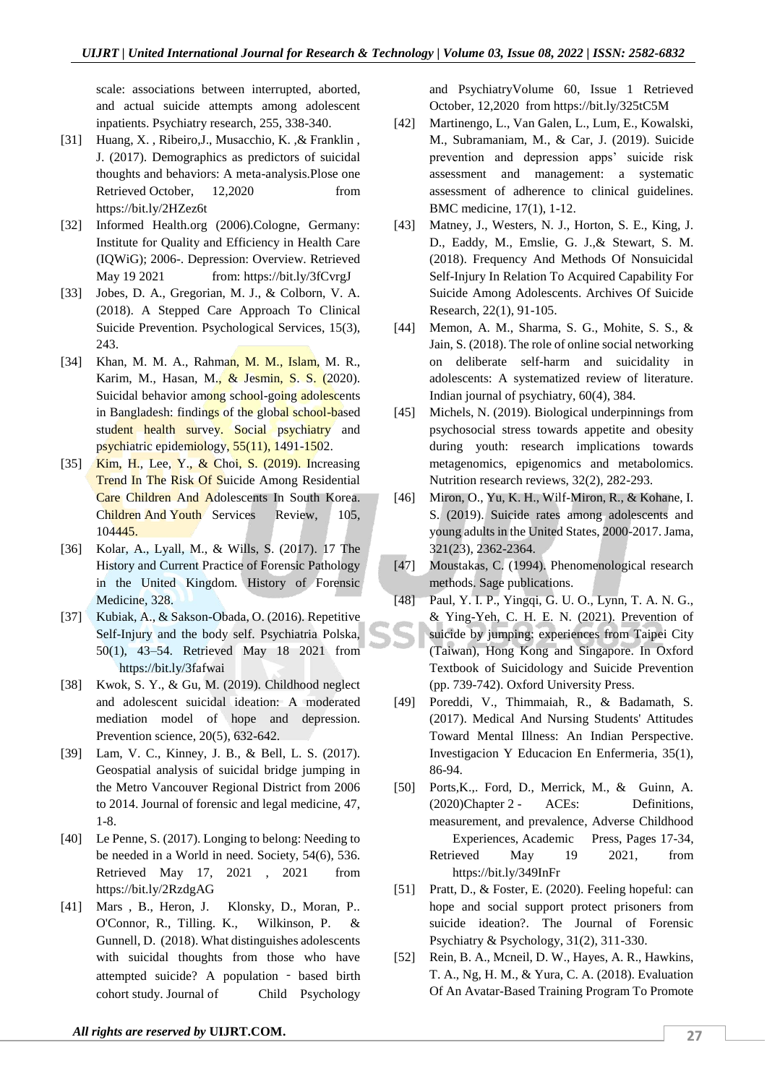scale: associations between interrupted, aborted, and actual suicide attempts among adolescent inpatients. Psychiatry research, 255, 338-340.

- [31] Huang, X. , Ribeiro,J., Musacchio, K. ,& Franklin , J. (2017). Demographics as predictors of suicidal thoughts and behaviors: A meta-analysis.Plose one Retrieved October, 12,2020 from https://bit.ly/2HZez6t
- [32] Informed Health.org (2006).Cologne, Germany: Institute for Quality and Efficiency in Health Care (IQWiG); 2006-. Depression: Overview. Retrieved May 19 2021 from: https://bit.ly/3fCvrgJ
- [33] Jobes, D. A., Gregorian, M. J., & Colborn, V. A. (2018). A Stepped Care Approach To Clinical Suicide Prevention. Psychological Services, 15(3), 243.
- [34] Khan, M. M. A., Rahman, M. M., Islam, M. R., Karim, M., Hasan, M., & Jesmin, S. S. (2020). Suicidal behavior among school-going adolescents in Bangladesh: findings of the global school-based student health survey. Social psychiatry and psychiatric epidemiology, 55(11), 1491-1502.
- [35] Kim, H., Lee, Y., & Choi, S. (2019). Increasing Trend In The Risk Of Suicide Among Residential Care Children And Adolescents In South Korea. Children And Youth Services Review, 105, 104445.
- [36] Kolar, A., Lyall, M., & Wills, S. (2017). 17 The History and Current Practice of Forensic Pathology in the United Kingdom. History of Forensic Medicine, 328.
- [37] Kubiak, A., & Sakson-Obada, O. (2016). Repetitive Self-Injury and the body self. Psychiatria Polska, 50(1), 43–54. Retrieved May 18 2021 from https://bit.ly/3fafwai
- [38] Kwok, S. Y., & Gu, M. (2019). Childhood neglect and adolescent suicidal ideation: A moderated mediation model of hope and depression. Prevention science, 20(5), 632-642.
- [39] Lam, V. C., Kinney, J. B., & Bell, L. S. (2017). Geospatial analysis of suicidal bridge jumping in the Metro Vancouver Regional District from 2006 to 2014. Journal of forensic and legal medicine, 47, 1-8.
- [40] Le Penne, S. (2017). Longing to belong: Needing to be needed in a World in need. Society, 54(6), 536. Retrieved May 17, 2021 , 2021 from https://bit.ly/2RzdgAG
- [41] Mars , B., Heron, J. Klonsky, D., Moran, P.. O'Connor, R., Tilling. K., Wilkinson, P. & Gunnell, D. (2018). What distinguishes adolescents with suicidal thoughts from those who have attempted suicide? A population ‐ based birth cohort study. Journal of Child Psychology

[51] Pratt, D., & Foster, E. (2020). Feeling hopeful: can hope and social support protect prisoners from suicide ideation?. The Journal of Forensic Psychiatry & Psychology, 31(2), 311-330.

https://bit.ly/349InFr

[52] Rein, B. A., Mcneil, D. W., Hayes, A. R., Hawkins, T. A., Ng, H. M., & Yura, C. A. (2018). Evaluation Of An Avatar-Based Training Program To Promote

and PsychiatryVolume 60, Issue 1 Retrieved October, 12,2020 from https://bit.ly/325tC5M

- [42] Martinengo, L., Van Galen, L., Lum, E., Kowalski, M., Subramaniam, M., & Car, J. (2019). Suicide prevention and depression apps' suicide risk assessment and management: a systematic assessment of adherence to clinical guidelines. BMC medicine, 17(1), 1-12.
- [43] Matney, J., Westers, N. J., Horton, S. E., King, J. D., Eaddy, M., Emslie, G. J.,& Stewart, S. M. (2018). Frequency And Methods Of Nonsuicidal Self-Injury In Relation To Acquired Capability For Suicide Among Adolescents. Archives Of Suicide Research, 22(1), 91-105.
- [44] Memon, A. M., Sharma, S. G., Mohite, S. S., & Jain, S. (2018). The role of online social networking on deliberate self-harm and suicidality in adolescents: A systematized review of literature. Indian journal of psychiatry, 60(4), 384.
- [45] Michels, N. (2019). Biological underpinnings from psychosocial stress towards appetite and obesity during youth: research implications towards metagenomics, epigenomics and metabolomics. Nutrition research reviews, 32(2), 282-293.
- [46] Miron, O., Yu, K. H., Wilf-Miron, R., & Kohane, I. S. (2019). Suicide rates among adolescents and young adults in the United States, 2000-2017. Jama, 321(23), 2362-2364.
- [47] Moustakas, C. (1994). Phenomenological research methods. Sage publications.
- [48] Paul, Y. I. P., Yingqi, G. U. O., Lynn, T. A. N. G., & Ying-Yeh, C. H. E. N. (2021). Prevention of suicide by jumping: experiences from Taipei City (Taiwan), Hong Kong and Singapore. In Oxford Textbook of Suicidology and Suicide Prevention (pp. 739-742). Oxford University Press.
- [49] Poreddi, V., Thimmaiah, R., & Badamath, S. (2017). Medical And Nursing Students' Attitudes Toward Mental Illness: An Indian Perspective. Investigacion Y Educacion En Enfermeria, 35(1), 86-94.

[50] Ports,K.,. Ford, D., Merrick, M., & Guinn, A. (2020)Chapter 2 - ACEs: Definitions, measurement, and prevalence, Adverse Childhood Experiences, Academic Press, Pages 17-34, Retrieved May 19 2021, from

*All rights are reserved by* **[UIJRT.COM.](https://uijrt.com/)**